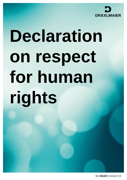

# **Declaration on respect for human rights**

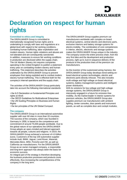

# **Declaration on respect for human rights**

## **Committed to ethics and integrity**

The DRÄXLMAIER Group is committed to internationally recognized human rights and is undertaking to comply with laws and regulations at a global level with regard to fair working conditions, combating human trafficking, labor exploitation and modern slavery. Human rights violations and abuses are not tolerated and are consequently sanctioned. In addition, measures to ensure fair working conditions in production are disclosed within the supply chain. The UK Modern Slavery Act requires companies operating in the United Kingdom to publish a statement every year on combatting modern slavery and human trafficking. This statement describes the activities undertaken by the DRÄXLMAIER Group to prevent employees from being exploited and to combat modern slavery human trafficking. This is effective both for the company's internal operations and the supply chain.

The activities of the DRÄXLMAIER Group particularly take into account the following international standards:

• the ILO Declaration on fundamental Principles and rights at Work

• the OECD Guidelines for Multinational Enterprises • the UN Guiding Principles on Business and Human **Rights** 

• the ten principles of the UN Global Compact

#### . **The company**

The DRÄXLMAIER Group is an international automotive supplier with over 60 sites in more than 20 countries. The success of the company, which was founded in Germany in 1958, is based on the competence and commitment of around 75,000 people worldwide. Due to the global nature of our operations the DRÄXLMAIER Group adopts an open-minded and tolerant approach towards all people, cultures and religions. In 2019, the DRÄXLMAIER Group achieved a turnover of 4.9 billion euros. Customers of the top 100 automotive supplier include Audi, BMW, Jaguar, Land Rover, Maserati, Mercedes-Benz, MINI, Porsche and VW, as well as California car manufacturers. For the DRÄXLMAIER Group as an owner-managed company, a responsible and long-term approach has always been the basis for economic success.

An integral part of the strategy is therefore developing the business production processes and products more effectively, thus increasing the competitiveness of the company in the long term.

The DRÄXLMAIER Group supplies premium car manufacturers worldwide with complex on-board electrical systems, central electric and electronic parts, exclusive interiors and battery storage systems for electro-mobility. The combination of core competences in interior, electric, electronic and storage systems makes the DRÄXLMAIER Group unique in the industry. The company covers the entire process chain, from the very first idea and the development and production process, right up to Just-in-sequence delivery of the products to the production lines of the premium car manufacturers.

As the inventor of the customized wiring harness, the DRÄXLMAIER Group today develops trend-setting onboard electrical system technologies, electric and electronic parts directly inhouse. This also includes multi-voltage and high-voltage on-board electrical systems, battery management systems and intelligent power distributors.

With its solutions for low-voltage and high-voltage storage systems, the DRÄXLMAIER Group is intensively engaged in a future for emission-free mobility. As the market leader in interior systems for premium vehicles, the DRÄXLMAIER Group also supplies premium car manufacturers with ambient lighting, center consoles, door panels and instrument panels, as well as complete door and cockpit modules.